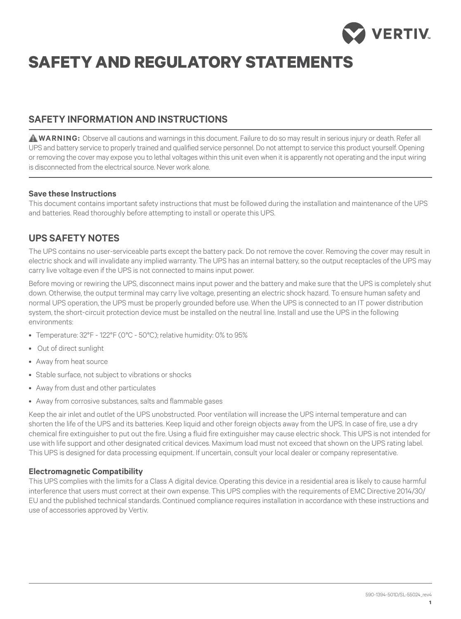

# **safety and regulatory statements**

## **sAFETY INFORMATION AND INSTRUCTIONS**

**WARNING:** Observe all cautions and warnings in this document. Failure to do so may result in serious injury or death. Refer all UPS and battery service to properly trained and qualified service personnel. Do not attempt to service this product yourself. Opening or removing the cover may expose you to lethal voltages within this unit even when it is apparently not operating and the input wiring is disconnected from the electrical source. Never work alone.

## **Save these Instructions**

This document contains important safety instructions that must be followed during the installation and maintenance of the UPS and batteries. Read thoroughly before attempting to install or operate this UPS.

## **UPS SAFETY NOTES**

The UPS contains no user-serviceable parts except the battery pack. Do not remove the cover. Removing the cover may result in electric shock and will invalidate any implied warranty. The UPS has an internal battery, so the output receptacles of the UPS may carry live voltage even if the UPS is not connected to mains input power.

Before moving or rewiring the UPS, disconnect mains input power and the battery and make sure that the UPS is completely shut down. Otherwise, the output terminal may carry live voltage, presenting an electric shock hazard. To ensure human safety and normal UPS operation, the UPS must be properly grounded before use. When the UPS is connected to an IT power distribution system, the short-circuit protection device must be installed on the neutral line. Install and use the UPS in the following environments:

- • Temperature: 32°F 122°F (0°C 50°C); relative humidity: 0% to 95%
- • Out of direct sunlight
- • Away from heat source
- Stable surface, not subject to vibrations or shocks
- Away from dust and other particulates
- Away from corrosive substances, salts and flammable gases

Keep the air inlet and outlet of the UPS unobstructed. Poor ventilation will increase the UPS internal temperature and can shorten the life of the UPS and its batteries. Keep liquid and other foreign objects away from the UPS. In case of fire, use a dry chemical fire extinguisher to put out the fire. Using a fluid fire extinguisher may cause electric shock. This UPS is not intended for use with life support and other designated critical devices. Maximum load must not exceed that shown on the UPS rating label. This UPS is designed for data processing equipment. If uncertain, consult your local dealer or company representative.

## **Electromagnetic Compatibility**

This UPS complies with the limits for a Class A digital device. Operating this device in a residential area is likely to cause harmful interference that users must correct at their own expense. This UPS complies with the requirements of EMC Directive 2014/30/ EU and the published technical standards. Continued compliance requires installation in accordance with these instructions and use of accessories approved by Vertiv.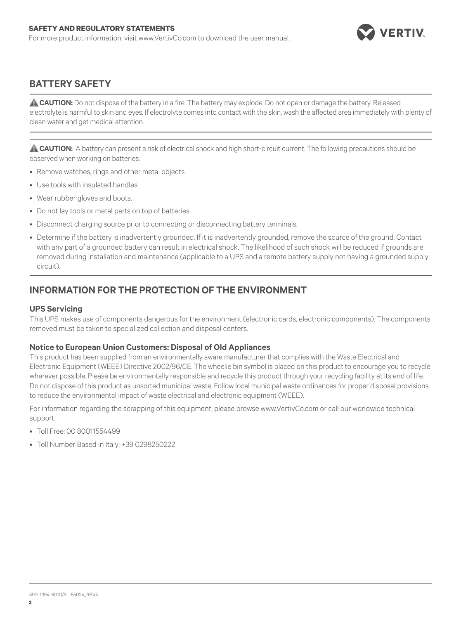

## **BATTERY SAFETY**

**ACAUTION:** Do not dispose of the battery in a fire. The battery may explode. Do not open or damage the battery. Released electrolyte is harmful to skin and eyes. If electrolyte comes into contact with the skin, wash the affected area immediately with plenty of clean water and get medical attention.

**CAUTION:** A battery can present a risk of electrical shock and high short-circuit current. The following precautions should be observed when working on batteries:

- Remove watches, rings and other metal objects.
- Use tools with insulated handles.
- Wear rubber gloves and boots.
- Do not lay tools or metal parts on top of batteries.
- Disconnect charging source prior to connecting or disconnecting battery terminals.
- • Determine if the battery is inadvertently grounded. If it is inadvertently grounded, remove the source of the ground. Contact with any part of a grounded battery can result in electrical shock. The likelihood of such shock will be reduced if grounds are removed during installation and maintenance (applicable to a UPS and a remote battery supply not having a grounded supply circuit).

## **Information for the Protection of the Environment**

#### **UPS Servicing**

This UPS makes use of components dangerous for the environment (electronic cards, electronic components). The components removed must be taken to specialized collection and disposal centers.

## **Notice to European Union Customers: Disposal of Old Appliances**

This product has been supplied from an environmentally aware manufacturer that complies with the Waste Electrical and Electronic Equipment (WEEE) Directive 2002/96/CE. The wheelie bin symbol is placed on this product to encourage you to recycle wherever possible. Please be environmentally responsible and recycle this product through your recycling facility at its end of life. Do not dispose of this product as unsorted municipal waste. Follow local municipal waste ordinances for proper disposal provisions to reduce the environmental impact of waste electrical and electronic equipment (WEEE).

For information regarding the scrapping of this equipment, please browse www.VertivCo.com or call our worldwide technical support.

- • Toll Free: 00 80011554499
- Toll Number Based in Italy: +39 0298250222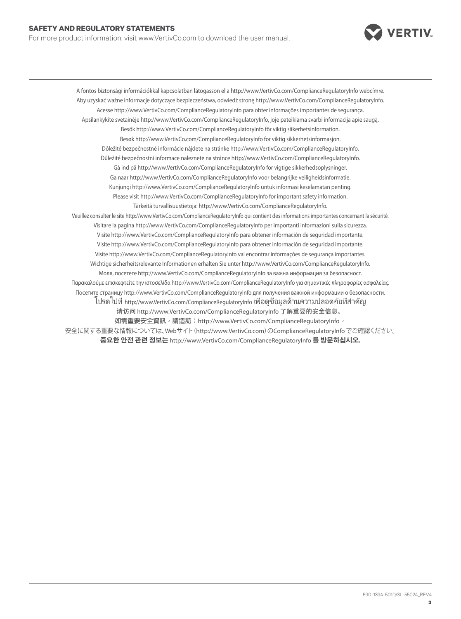#### **sAFETY AND REGULATORY STATEMENTS**

For more product information, visit www.VertivCo.com to download the user manual.



A fontos biztonsági információkkal kapcsolatban látogasson el a http://www.VertivCo.com/ComplianceRegulatoryInfo webcímre. Aby uzyskać ważne informacje dotyczące bezpieczeństwa, odwiedź stronę http://www.VertivCo.com/ComplianceRegulatoryInfo. Acesse http://www.VertivCo.com/ComplianceRegulatoryInfo para obter informações importantes de segurança. Apsilankykite svetainėje http://www.VertivCo.com/ComplianceRegulatoryInfo, joje pateikiama svarbi informacija apie saugą. Besök http://www.VertivCo.com/ComplianceRegulatoryInfo för viktig säkerhetsinformation. Besøk http://www.VertivCo.com/ComplianceRegulatoryInfo for viktig sikkerhetsinformasjon. Dôležité bezpečnostné informácie nájdete na stránke http://www.VertivCo.com/ComplianceRegulatoryInfo. Důležité bezpečnostní informace naleznete na stránce http://www.VertivCo.com/ComplianceRegulatoryInfo. Gå ind på http://www.VertivCo.com/ComplianceRegulatoryInfo for vigtige sikkerhedsoplysninger. Ga naar http://www.VertivCo.com/ComplianceRegulatoryInfo voor belangrijke veiligheidsinformatie. Kunjungi http://www.VertivCo.com/ComplianceRegulatoryInfo untuk informasi keselamatan penting. Please visit http://www.VertivCo.com/ComplianceRegulatoryInfo for important safety information. Tärkeitä turvallisuustietoja: http://www.VertivCo.com/ComplianceRegulatoryInfo. Veuillez consulter le site http://www.VertivCo.com/ComplianceRegulatoryInfo qui contient des informations importantes concernant la sécurité. Visitare la pagina http://www.VertivCo.com/ComplianceRegulatoryInfo per importanti informazioni sulla sicurezza. Visite http://www.VertivCo.com/ComplianceRegulatoryInfo para obtener información de seguridad importante. Visite http://www.VertivCo.com/ComplianceRegulatoryInfo para obtener información de seguridad importante. Visite http://www.VertivCo.com/ComplianceRegulatoryInfo vai encontrar informações de segurança importantes. Wichtige sicherheitsrelevante Informationen erhalten Sie unter http://www.VertivCo.com/ComplianceRegulatoryInfo. Моля, посетете http://www.VertivCo.com/ComplianceRegulatoryInfo за важна информация за безопасност. Παρακαλούμε επισκεφτείτε την ιστοσελίδα http://www.VertivCo.com/ComplianceRegulatoryInfo για σημαντικές πληροφορίες ασφαλείας. Посетите страницу http://www.VertivCo.com/ComplianceRegulatoryInfo для получения важной информации о безопасности. โปรดไปที่ http://www.VertivCo.com/ComplianceRegulatoryInfo เพื่อดูข้อมูลด้านความปลอดภัยที่สำ คัญ 请访问 http://www.VertivCo.com/ComplianceRegulatoryInfo 了解重要的安全信息。 **如需重要安全資訊,請造訪:**http://www.VertivCo.com/ComplianceRegulatoryInfo**。** 安全に関する重要な情報については、Webサイト(http://www.VertivCo.com)のComplianceRegulatoryInfoでご確認ください。 **중요한 안전 관련 정보는** http://www.VertivCo.com/ComplianceRegulatoryInfo **를 방문하십시오.**